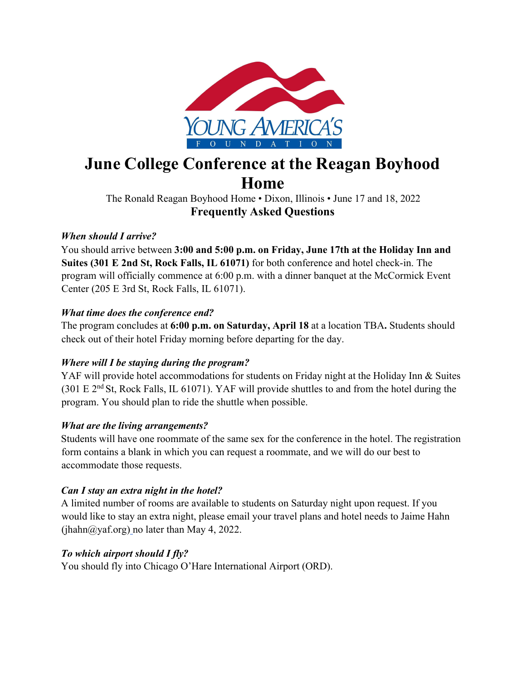

# **June College Conference at the Reagan Boyhood Home**

The Ronald Reagan Boyhood Home • Dixon, Illinois • June 17 and 18, 2022 **Frequently Asked Questions**

## *When should I arrive?*

You should arrive between **3:00 and 5:00 p.m. on Friday, June 17th at the Holiday Inn and Suites (301 E 2nd St, Rock Falls, IL 61071)** for both conference and hotel check-in. The program will officially commence at 6:00 p.m. with a dinner banquet at the McCormick Event Center (205 E 3rd St, Rock Falls, IL 61071).

## *What time does the conference end?*

The program concludes at **6:00 p.m. on Saturday, April 18** at a location TBA**.** Students should check out of their hotel Friday morning before departing for the day.

# *Where will I be staying during the program?*

YAF will provide hotel accommodations for students on Friday night at the Holiday Inn & Suites (301 E 2nd St, Rock Falls, IL 61071). YAF will provide shuttles to and from the hotel during the program. You should plan to ride the shuttle when possible.

# *What are the living arrangements?*

Students will have one roommate of the same sex for the conference in the hotel. The registration form contains a blank in which you can request a roommate, and we will do our best to accommodate those requests.

## *Can I stay an extra night in the hotel?*

A limited number of rooms are available to students on Saturday night upon request. If you would like to stay an extra night, please email your travel plans and hotel needs to Jaime Hahn  $(ihahn@yaf.org)$  no later than May 4, 2022.

## *To which airport should I fly?*

You should fly into Chicago O'Hare International Airport (ORD).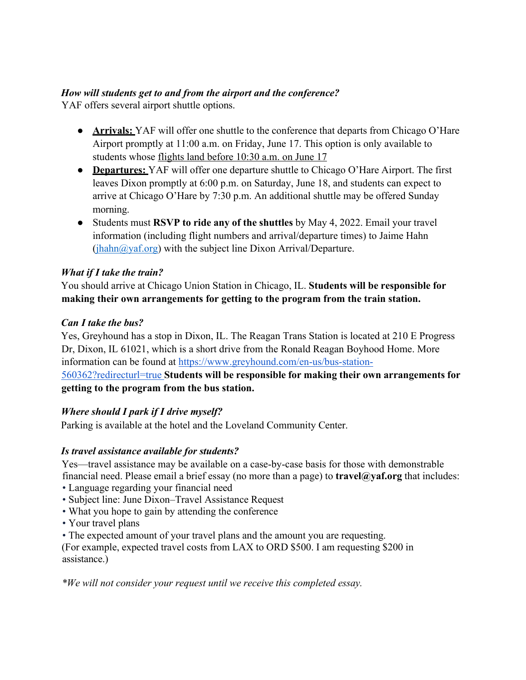## *How will students get to and from the airport and the conference?*

YAF offers several airport shuttle options.

- **Arrivals:** YAF will offer one shuttle to the conference that departs from Chicago O'Hare Airport promptly at 11:00 a.m. on Friday, June 17. This option is only available to students whose flights land before 10:30 a.m. on June 17
- **Departures:** YAF will offer one departure shuttle to Chicago O'Hare Airport. The first leaves Dixon promptly at 6:00 p.m. on Saturday, June 18, and students can expect to arrive at Chicago O'Hare by 7:30 p.m. An additional shuttle may be offered Sunday morning.
- Students must **RSVP to ride any of the shuttles** by May 4, 2022. Email your travel information (including flight numbers and arrival/departure times) to Jaime Hahn  $(ihahn@yaf.org)$  with the subject line Dixon Arrival/Departure.

## *What if I take the train?*

You should arrive at Chicago Union Station in Chicago, IL. **Students will be responsible for making their own arrangements for getting to the program from the train station.**

## *Can I take the bus?*

Yes, Greyhound has a stop in Dixon, IL. The Reagan Trans Station is located at 210 E Progress Dr, Dixon, IL 61021, which is a short drive from the Ronald Reagan Boyhood Home. More information can be found at https://www.greyhound.com/en-us/bus-station-

560362?redirecturl=true **Students will be responsible for making their own arrangements for getting to the program from the bus station.**

# *Where should I park if I drive myself?*

Parking is available at the hotel and the Loveland Community Center.

# *Is travel assistance available for students?*

Yes—travel assistance may be available on a case-by-case basis for those with demonstrable financial need. Please email a brief essay (no more than a page) to **travel@yaf.org** that includes:

- Language regarding your financial need
- Subject line: June Dixon–Travel Assistance Request
- What you hope to gain by attending the conference
- Your travel plans
- The expected amount of your travel plans and the amount you are requesting.

(For example, expected travel costs from LAX to ORD \$500. I am requesting \$200 in assistance.)

*\*We will not consider your request until we receive this completed essay.*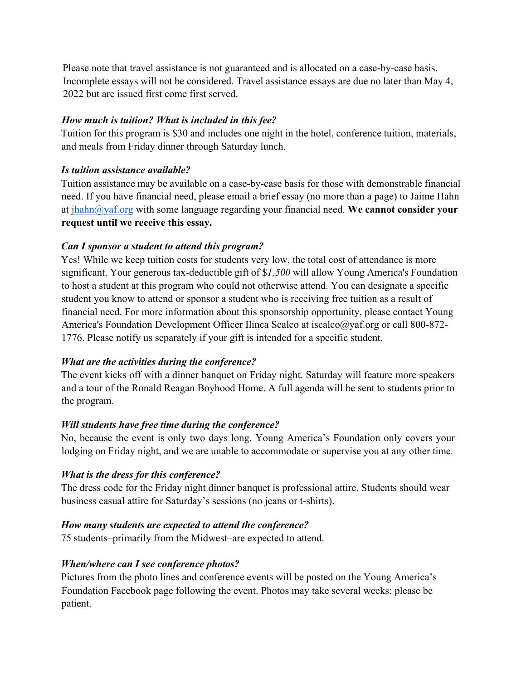Please note that travel assistance is not guaranteed and is allocated on a case-by-case basis. Incomplete essays will not be considered. Travel assistance essays are due no later than May 4, 2022 but are issued first come first served.

#### *How much is tuition? What is included in this fee?*

Tuition for this program is \$30 and includes one night in the hotel, conference tuition, materials, and meals from Friday dinner through Saturday lunch.

#### *Is tuition assistance available?*

Tuition assistance may be available on a case-by-case basis for those with demonstrable financial need. If you have financial need, please email a brief essay (no more than a page) to Jaime Hahn at jhahn@yaf.org with some language regarding your financial need. **We cannot consider your request until we receive this essay.**

## *Can I sponsor a student to attend this program?*

Yes! While we keep tuition costs for students very low, the total cost of attendance is more significant. Your generous tax-deductible gift of \$*1,500* will allow Young America's Foundation to host a student at this program who could not otherwise attend. You can designate a specific student you know to attend or sponsor a student who is receiving free tuition as a result of financial need. For more information about this sponsorship opportunity, please contact Young America's Foundation Development Officer Ilinca Scalco at iscalco@yaf.org or call 800-872-1776. Please notify us separately if your gift is intended for a specific student.

## *What are the activities during the conference?*

The event kicks off with a dinner banquet on Friday night. Saturday will feature more speakers and a tour of the Ronald Reagan Boyhood Home. A full agenda will be sent to students prior to the program.

#### *Will students have free time during the conference?*

No, because the event is only two days long. Young America's Foundation only covers your lodging on Friday night, and we are unable to accommodate or supervise you at any other time.

## *What is the dress for this conference?*

The dress code for the Friday night dinner banquet is professional attire. Students should wear business casual attire for Saturday's sessions (no jeans or t-shirts).

## *How many students are expected to attend the conference?*

75 students–primarily from the Midwest–are expected to attend.

## *When/where can I see conference photos?*

Pictures from the photo lines and conference events will be posted on the Young America's Foundation Facebook page following the event. Photos may take several weeks; please be patient.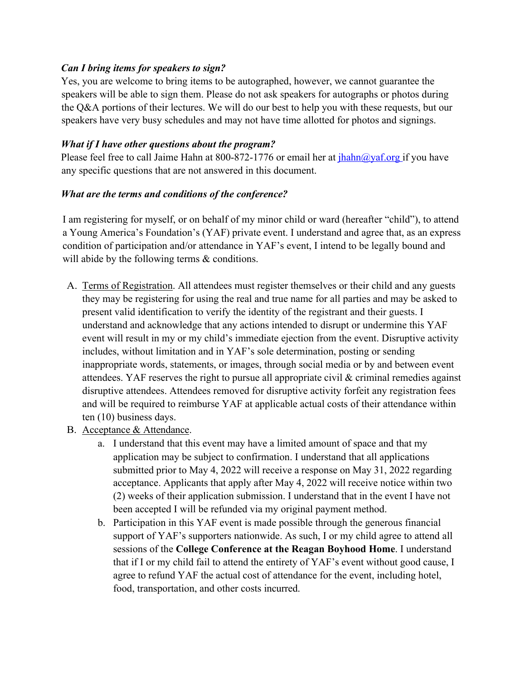#### *Can I bring items for speakers to sign?*

Yes, you are welcome to bring items to be autographed, however, we cannot guarantee the speakers will be able to sign them. Please do not ask speakers for autographs or photos during the Q&A portions of their lectures. We will do our best to help you with these requests, but our speakers have very busy schedules and may not have time allotted for photos and signings.

#### *What if I have other questions about the program?*

Please feel free to call Jaime Hahn at 800-872-1776 or email her at  $i$ hahn@yaf.org if you have any specific questions that are not answered in this document.

#### *What are the terms and conditions of the conference?*

I am registering for myself, or on behalf of my minor child or ward (hereafter "child"), to attend a Young America's Foundation's (YAF) private event. I understand and agree that, as an express condition of participation and/or attendance in YAF's event, I intend to be legally bound and will abide by the following terms & conditions.

- A. Terms of Registration. All attendees must register themselves or their child and any guests they may be registering for using the real and true name for all parties and may be asked to present valid identification to verify the identity of the registrant and their guests. I understand and acknowledge that any actions intended to disrupt or undermine this YAF event will result in my or my child's immediate ejection from the event. Disruptive activity includes, without limitation and in YAF's sole determination, posting or sending inappropriate words, statements, or images, through social media or by and between event attendees. YAF reserves the right to pursue all appropriate civil & criminal remedies against disruptive attendees. Attendees removed for disruptive activity forfeit any registration fees and will be required to reimburse YAF at applicable actual costs of their attendance within ten (10) business days.
- B. Acceptance & Attendance.
	- a. I understand that this event may have a limited amount of space and that my application may be subject to confirmation. I understand that all applications submitted prior to May 4, 2022 will receive a response on May 31, 2022 regarding acceptance. Applicants that apply after May 4, 2022 will receive notice within two (2) weeks of their application submission. I understand that in the event I have not been accepted I will be refunded via my original payment method.
	- b. Participation in this YAF event is made possible through the generous financial support of YAF's supporters nationwide. As such, I or my child agree to attend all sessions of the **College Conference at the Reagan Boyhood Home**. I understand that if I or my child fail to attend the entirety of YAF's event without good cause, I agree to refund YAF the actual cost of attendance for the event, including hotel, food, transportation, and other costs incurred.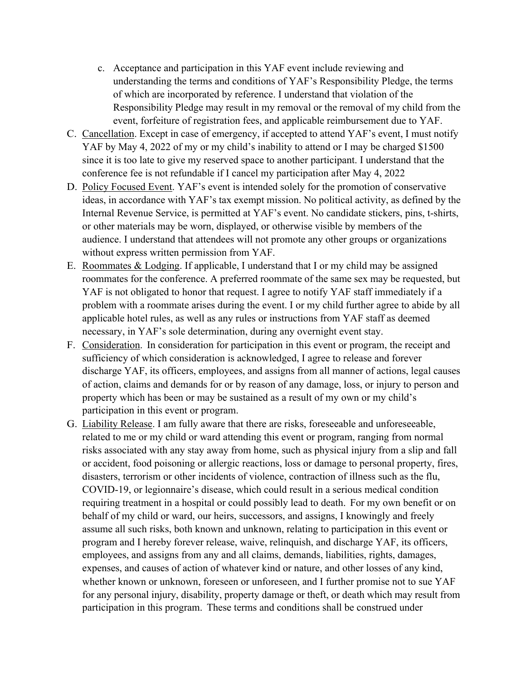- c. Acceptance and participation in this YAF event include reviewing and understanding the terms and conditions of YAF's Responsibility Pledge, the terms of which are incorporated by reference. I understand that violation of the Responsibility Pledge may result in my removal or the removal of my child from the event, forfeiture of registration fees, and applicable reimbursement due to YAF.
- C. Cancellation. Except in case of emergency, if accepted to attend YAF's event, I must notify YAF by May 4, 2022 of my or my child's inability to attend or I may be charged \$1500 since it is too late to give my reserved space to another participant. I understand that the conference fee is not refundable if I cancel my participation after May 4, 2022
- D. Policy Focused Event. YAF's event is intended solely for the promotion of conservative ideas, in accordance with YAF's tax exempt mission. No political activity, as defined by the Internal Revenue Service, is permitted at YAF's event. No candidate stickers, pins, t-shirts, or other materials may be worn, displayed, or otherwise visible by members of the audience. I understand that attendees will not promote any other groups or organizations without express written permission from YAF.
- E. Roommates & Lodging. If applicable, I understand that I or my child may be assigned roommates for the conference. A preferred roommate of the same sex may be requested, but YAF is not obligated to honor that request. I agree to notify YAF staff immediately if a problem with a roommate arises during the event. I or my child further agree to abide by all applicable hotel rules, as well as any rules or instructions from YAF staff as deemed necessary, in YAF's sole determination, during any overnight event stay.
- F. Consideration. In consideration for participation in this event or program, the receipt and sufficiency of which consideration is acknowledged, I agree to release and forever discharge YAF, its officers, employees, and assigns from all manner of actions, legal causes of action, claims and demands for or by reason of any damage, loss, or injury to person and property which has been or may be sustained as a result of my own or my child's participation in this event or program.
- G. Liability Release. I am fully aware that there are risks, foreseeable and unforeseeable, related to me or my child or ward attending this event or program, ranging from normal risks associated with any stay away from home, such as physical injury from a slip and fall or accident, food poisoning or allergic reactions, loss or damage to personal property, fires, disasters, terrorism or other incidents of violence, contraction of illness such as the flu, COVID-19, or legionnaire's disease, which could result in a serious medical condition requiring treatment in a hospital or could possibly lead to death. For my own benefit or on behalf of my child or ward, our heirs, successors, and assigns, I knowingly and freely assume all such risks, both known and unknown, relating to participation in this event or program and I hereby forever release, waive, relinquish, and discharge YAF, its officers, employees, and assigns from any and all claims, demands, liabilities, rights, damages, expenses, and causes of action of whatever kind or nature, and other losses of any kind, whether known or unknown, foreseen or unforeseen, and I further promise not to sue YAF for any personal injury, disability, property damage or theft, or death which may result from participation in this program. These terms and conditions shall be construed under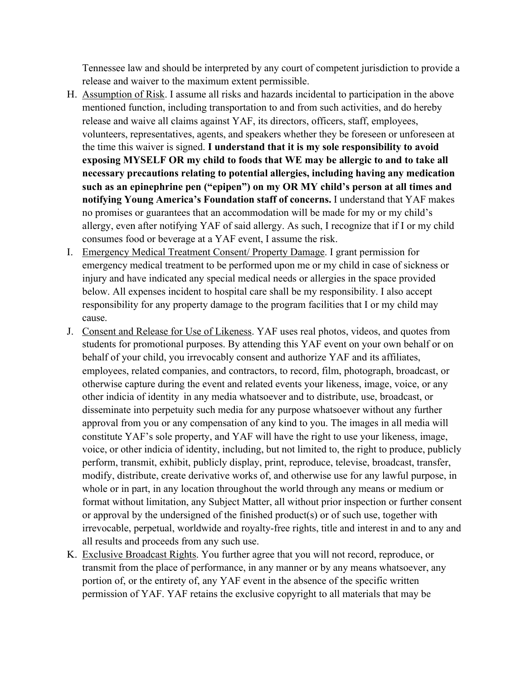Tennessee law and should be interpreted by any court of competent jurisdiction to provide a release and waiver to the maximum extent permissible.

- H. Assumption of Risk. I assume all risks and hazards incidental to participation in the above mentioned function, including transportation to and from such activities, and do hereby release and waive all claims against YAF, its directors, officers, staff, employees, volunteers, representatives, agents, and speakers whether they be foreseen or unforeseen at the time this waiver is signed. **I understand that it is my sole responsibility to avoid exposing MYSELF OR my child to foods that WE may be allergic to and to take all necessary precautions relating to potential allergies, including having any medication such as an epinephrine pen ("epipen") on my OR MY child's person at all times and notifying Young America's Foundation staff of concerns.** I understand that YAF makes no promises or guarantees that an accommodation will be made for my or my child's allergy, even after notifying YAF of said allergy. As such, I recognize that if I or my child consumes food or beverage at a YAF event, I assume the risk.
- I. Emergency Medical Treatment Consent/ Property Damage. I grant permission for emergency medical treatment to be performed upon me or my child in case of sickness or injury and have indicated any special medical needs or allergies in the space provided below. All expenses incident to hospital care shall be my responsibility. I also accept responsibility for any property damage to the program facilities that I or my child may cause.
- J. Consent and Release for Use of Likeness. YAF uses real photos, videos, and quotes from students for promotional purposes. By attending this YAF event on your own behalf or on behalf of your child, you irrevocably consent and authorize YAF and its affiliates, employees, related companies, and contractors, to record, film, photograph, broadcast, or otherwise capture during the event and related events your likeness, image, voice, or any other indicia of identity in any media whatsoever and to distribute, use, broadcast, or disseminate into perpetuity such media for any purpose whatsoever without any further approval from you or any compensation of any kind to you. The images in all media will constitute YAF's sole property, and YAF will have the right to use your likeness, image, voice, or other indicia of identity, including, but not limited to, the right to produce, publicly perform, transmit, exhibit, publicly display, print, reproduce, televise, broadcast, transfer, modify, distribute, create derivative works of, and otherwise use for any lawful purpose, in whole or in part, in any location throughout the world through any means or medium or format without limitation, any Subject Matter, all without prior inspection or further consent or approval by the undersigned of the finished product(s) or of such use, together with irrevocable, perpetual, worldwide and royalty-free rights, title and interest in and to any and all results and proceeds from any such use.
- K. Exclusive Broadcast Rights. You further agree that you will not record, reproduce, or transmit from the place of performance, in any manner or by any means whatsoever, any portion of, or the entirety of, any YAF event in the absence of the specific written permission of YAF. YAF retains the exclusive copyright to all materials that may be